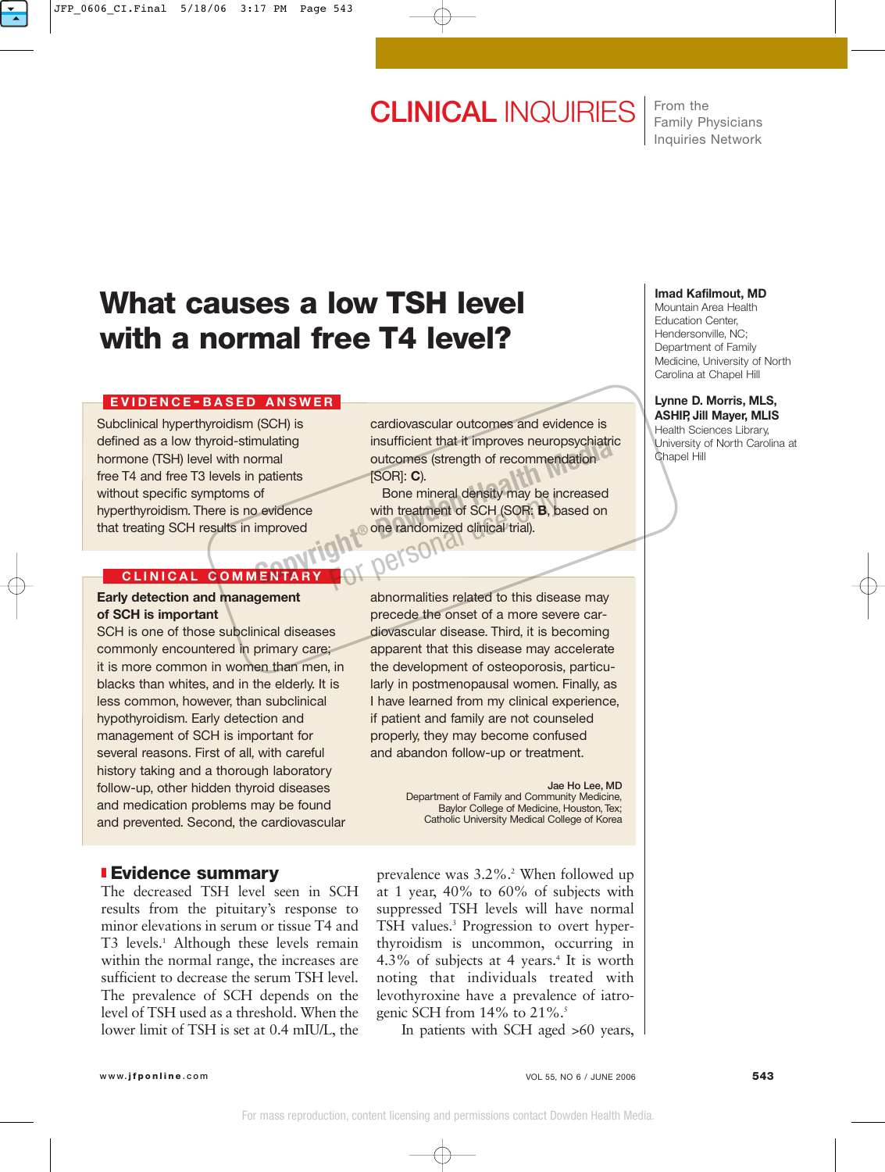# **CLINICAL** INQUIRIES

From the Family Physicians Inquiries Network

## **What causes a low TSH level with a normal free T4 level?**

### **EVIDENCE - BASED ANSWER**

Subclinical hyperthyroidism (SCH) is defined as a low thyroid-stimulating hormone (TSH) level with normal free T4 and free T3 levels in patients without specific symptoms of hyperthyroidism. There is no evidence that treating SCH results in improved

## **CLINICAL COMMENTARY**

#### **Early detection and management of SCH is important**

SCH is one of those subclinical diseases commonly encountered in primary care; it is more common in women than men, in blacks than whites, and in the elderly. It is less common, however, than subclinical hypothyroidism. Early detection and management of SCH is important for several reasons. First of all, with careful history taking and a thorough laboratory follow-up, other hidden thyroid diseases and medication problems may be found and prevented. Second, the cardiovascular

## ❚ **Evidence summary**

The decreased TSH level seen in SCH results from the pituitary's response to minor elevations in serum or tissue T4 and T3 levels.<sup>1</sup> Although these levels remain within the normal range, the increases are sufficient to decrease the serum TSH level. The prevalence of SCH depends on the level of TSH used as a threshold. When the lower limit of TSH is set at 0.4 mIU/L, the cardiovascular outcomes and evidence is insufficient that it improves neuropsychiatric outcomes (strength of recommendation [SOR]: **C**).

Bone mineral density may be increased with treatment of SCH (SOR: **B**, based on one randomized clinical trial). Final particular providence<br>
Devices (strength of recommendation<br>
Device and Device and Device and Device and Device and Device and Device and Device and Device and Device and Device and Device and Device and Device and De persona

> abnormalities related to this disease may precede the onset of a more severe cardiovascular disease. Third, it is becoming apparent that this disease may accelerate the development of osteoporosis, particularly in postmenopausal women. Finally, as I have learned from my clinical experience, if patient and family are not counseled properly, they may become confused and abandon follow-up or treatment.

> > **Jae Ho Lee, MD** Department of Family and Community Medicine, Baylor College of Medicine, Houston, Tex; Catholic University Medical College of Korea

prevalence was 3.2%.2 When followed up at 1 year, 40% to 60% of subjects with suppressed TSH levels will have normal TSH values.3 Progression to overt hyperthyroidism is uncommon, occurring in 4.3% of subjects at 4 years.<sup>4</sup> It is worth noting that individuals treated with levothyroxine have a prevalence of iatrogenic SCH from  $14\%$  to  $21\%$ .<sup>5</sup>

In patients with SCH aged >60 years,

#### **Imad Kafilmout, MD**

Mountain Area Health Education Center, Hendersonville, NC; Department of Family Medicine, University of North Carolina at Chapel Hill

#### **Lynne D. Morris, MLS, ASHIP, Jill Mayer, MLIS**

Health Sciences Library, University of North Carolina at Chapel Hill